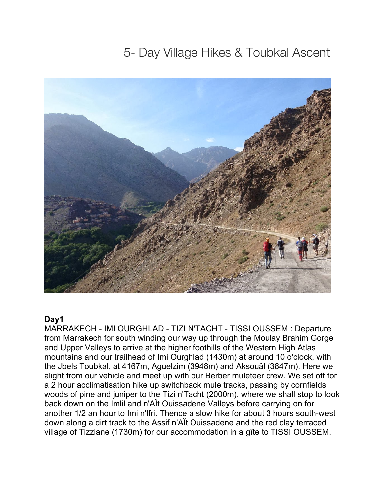# 5- Day Village Hikes & Toubkal Ascent



### **Day1**

MARRAKECH - IMI OURGHLAD - TIZI N'TACHT - TISSI OUSSEM : Departure from Marrakech for south winding our way up through the Moulay Brahim Gorge and Upper Valleys to arrive at the higher foothills of the Western High Atlas mountains and our trailhead of Imi Ourghlad (1430m) at around 10 o'clock, with the Jbels Toubkal, at 4167m, Aguelzim (3948m) and Aksouâl (3847m). Here we alight from our vehicle and meet up with our Berber muleteer crew. We set off for a 2 hour acclimatisation hike up switchback mule tracks, passing by cornfields woods of pine and juniper to the Tizi n'Tacht (2000m), where we shall stop to look back down on the Imlil and n'AÏt Ouissadene Valleys before carrying on for another 1/2 an hour to Imi n'lfri. Thence a slow hike for about 3 hours south-west down along a dirt track to the Assif n'AÏt Ouissadene and the red clay terraced village of Tizziane (1730m) for our accommodation in a gîte to TISSI OUSSEM.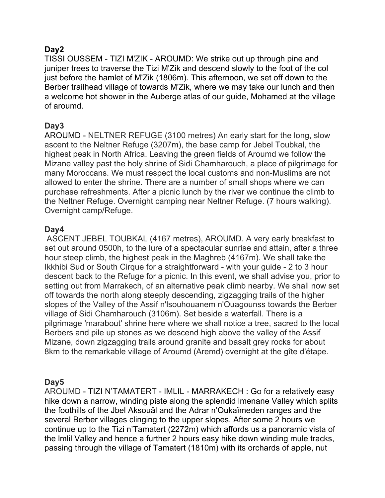# **Day2**

TISSI OUSSEM - TIZI M'ZIK - AROUMD: We strike out up through pine and juniper trees to traverse the Tizi M'Zik and descend slowly to the foot of the col just before the hamlet of M'Zik (1806m). This afternoon, we set off down to the Berber trailhead village of towards M'Zik, where we may take our lunch and then a welcome hot shower in the Auberge atlas of our guide, Mohamed at the village of aroumd.

# **Day3**

AROUMD - NELTNER REFUGE (3100 metres) An early start for the long, slow ascent to the Neltner Refuge (3207m), the base camp for Jebel Toubkal, the highest peak in North Africa. Leaving the green fields of Aroumd we follow the Mizane valley past the holy shrine of Sidi Chamharouch, a place of pilgrimage for many Moroccans. We must respect the local customs and non-Muslims are not allowed to enter the shrine. There are a number of small shops where we can purchase refreshments. After a picnic lunch by the river we continue the climb to the Neltner Refuge. Overnight camping near Neltner Refuge. (7 hours walking). Overnight camp/Refuge.

## **Day4**

ASCENT JEBEL TOUBKAL (4167 metres), AROUMD. A very early breakfast to set out around 0500h, to the lure of a spectacular sunrise and attain, after a three hour steep climb, the highest peak in the Maghreb (4167m). We shall take the Ikkhibi Sud or South Cirque for a straightforward - with your guide - 2 to 3 hour descent back to the Refuge for a picnic. In this event, we shall advise you, prior to setting out from Marrakech, of an alternative peak climb nearby. We shall now set off towards the north along steeply descending, zigzagging trails of the higher slopes of the Valley of the Assif n'lsouhouanem n'Ouagounss towards the Berber village of Sidi Chamharouch (3106m). Set beside a waterfall. There is a pilgrimage 'marabout' shrine here where we shall notice a tree, sacred to the local Berbers and pile up stones as we descend high above the valley of the Assif Mizane, down zigzagging trails around granite and basalt grey rocks for about 8km to the remarkable village of Aroumd (Aremd) overnight at the gîte d'étape.

### **Day5**

AROUMD - TIZI N'TAMATERT - IMLIL - MARRAKECH : Go for a relatively easy hike down a narrow, winding piste along the splendid lmenane Valley which splits the foothills of the Jbel Aksouâl and the Adrar n'Oukaïmeden ranges and the several Berber villages clinging to the upper slopes. After some 2 hours we continue up to the Tizi n'Tamatert (2272m) which affords us a panoramic vista of the lmlil Valley and hence a further 2 hours easy hike down winding mule tracks, passing through the village of Tamatert (1810m) with its orchards of apple, nut